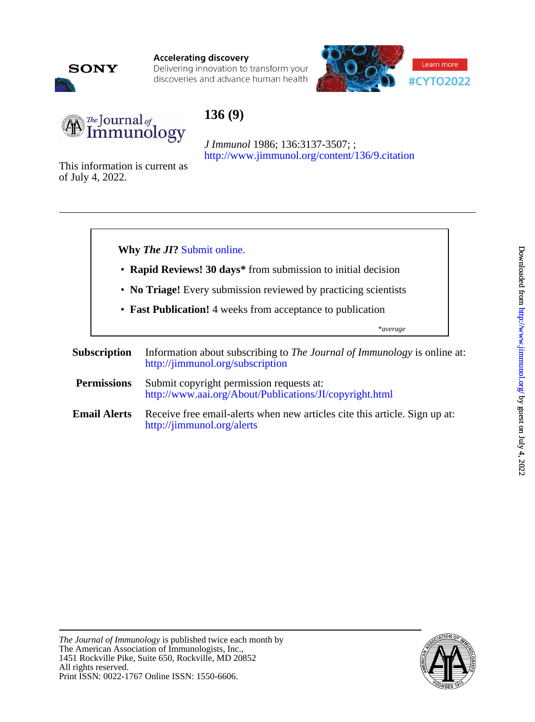

**Accelerating discovery** Delivering innovation to transform your discoveries and advance human health



# $\mu$  Journal of Immunology

# **136 (9)**

<http://www.jimmunol.org/content/136/9.citation> *J Immunol* 1986; 136:3137-3507; ;

of July 4, 2022. This information is current as



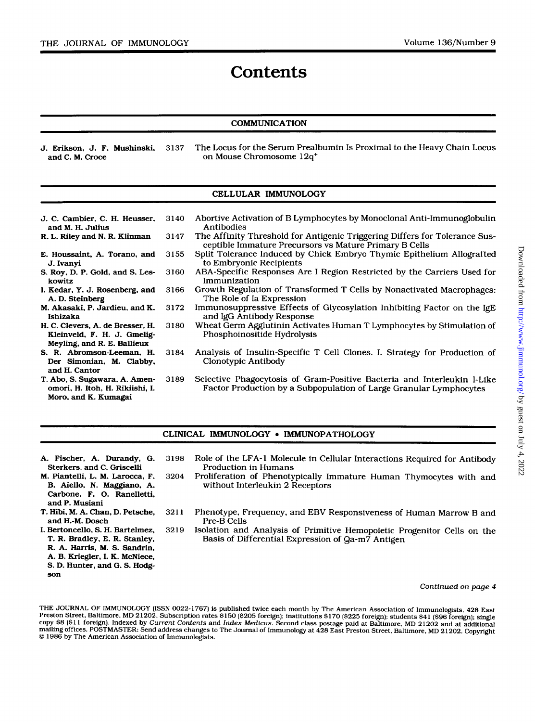# **Contents**

#### COMMUNICATION

J. Erikson, J. F. Mushinski, 3137 The Locus for the Serum Prealbumin Is Proximal to the Heavy Chain Locus on Mouse Chromosome  $12q^+$ on Mouse Chromosome 12q<sup>+</sup>

#### CELLULAR IMMUNOLOGY

J. C. Cambier. C. H. Heusser. R. L. Riley and N. R. Klinman **E.** Houssaint, A. Torano, and and M. H. Julius J. Ivanyi kowitz **I.** Kedar, *Y.* J. Rosenberg. and A.D.Steinberg M. Akasaki. **P.** Jardieu, and K. Ishizaka H. C. Clevers, A. de Bresser. **H.**  Kleinveld, F. H. J. Gmelig-Meyling, and R. **E.** Ballieux *S.* R. Abromson-Leeman, **H.**  Der Simonian, M. Clabby, and **H.** Cantor *S.* ROY, D. P. Gold, and *S.* **Les-**3140 3147 3155 3160 3166 3172 3180 3184 Abortive Activation of B Lymphocytes by Monoclonal Anti-Immunoglobulin

T. Abo, *S.* Sugawara. A. Amenomori, H. Itoh, H. Rikiishi, **I.**  Moro, and **K.** Kumagai 3189

*S.* D. Hunter, and *G. S.* Hodg-

son

- The Affinity Threshold for Antigenic Triggering Differs for Tolerance Sus-Antibodies ceptible Immature Precursors vs Mature Primary **B** Cells
- Split Tolerance Induced by Chick Embryo Thymic Epithelium Allografted to Embryonic Recipients
- ABA-Specific Responses Are I Region Restricted by the Carriers Used for Immunization
- Growth Regulation of Transformed T Cells by Nonactivated Macrophages: The Role of Ia Expression
- Immunosuppressive Effects of Glycosylation Inhibiting Factor on the IgE and IgG Antibody Response
- Wheat Germ Agglutinin Activates Human T Lymphocytes by Stimulation of Phosphoinositide Hydrolysis
- Analysis of Insulin-Specific T Cell Clones. I. Strategy for Production of Clonotypic Antibody
- Selective Phagocytosis of Gram-positive Bacteria and Interleukin 1-Like Factor Production by a Subpopulation of Large Granular Lymphocytes

#### CLINICAL IMMUNOLOGY *0* IMMUNOPATHOLOGY

A. Fischer, **A.** Durandy. G. Sterkers. and C. Griscelli M. Piantelli. **L.** M. Larocca, F. B. Aiello, N. Maggiano. A. Carbone, **F.** *0.* Ranelletti, and P. Musiani T. Hibi, M. A. Chan, D. Petsche, **I.** Bertoncello, *S.* H. Bartelmez. **T.** R. Bradley, E. R. Stanley, R. A. Harris, M. *S.* Sandrin. A. B. Kriegler, **I.** K. McNiece. and H.-M. Dosch 3198 Role of the LFA-1 Molecule in Cellular Interactions Required for Antibody 3204 Proliferation of Phenotypically Immature Human Thymocytes with and Production in Humans without Interleukin 2 Receptors 3211 Phenotype, Frequency, and EBV Responsiveness of Human Marrow B and 3219 Isolation and Analysis of Primitive Hemopoietic Progenitor Cells on the Pre-B Cells Basis of Differential Expression of Qa-m7 Antigen

#### *Continued on page 4*

THE JOURNAL **OF** IMMUNOLOGY (ISSN **0022-1767) is** published twice each month by The American Association of Immunologists, **428** East Preston Street, Baltimore, MD **21202.** Subscription rates **\$150 (\$205** foreign]; institutions **\$170 (\$225** foreign); students **\$41 (\$96** foreign); single copy **\$8 (\$1 1** foreign). Indexed by *Current Contents* and *Index Medlcus.* Second class postage paid at Eialtimore, MD **21202** and at additional mailing offices. POSTMASTER: Send address changes to The Journal of Immunology at **428** East Preston Street, Baltimore, MD **21202.** Copyright *0* **1986** by The American Association of Immunologists.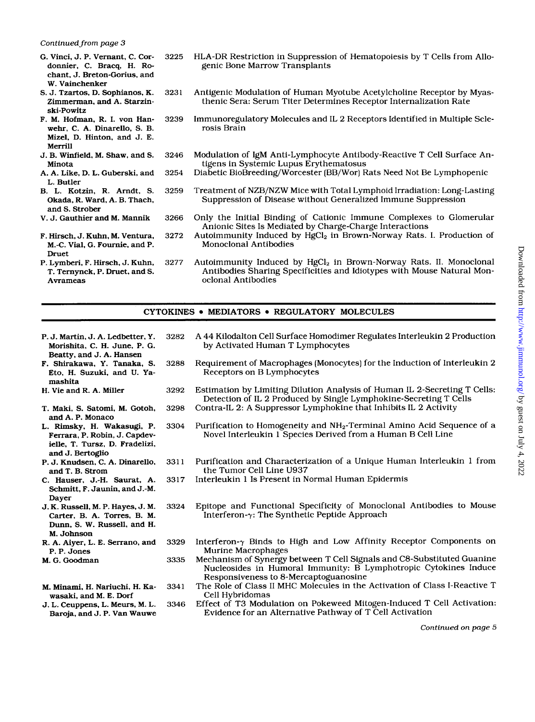#### *Continued from page 3*

- G. Vinci. J. P. Vernant, C. Cordonnier, C. Bracq. H. Rochant, J. Breton-Gorius. and W. Vainchenker
- *S.* J. Tzartos. D. Sophianos. K. Zimmerman, and A. Starzinski-Powitz
- F. M. Hofman, R. **I.** von Hanwehr, *C.* A. Dinarello. s. B. Mizel. D. Hinton, and J. E. Merrill
- J. B. Winfield. M. Shaw, and *S.*  Minota
- A. A. Like, D. L. Guberski, and L. Butler
- B. L. Kotzin, R. Amdt, *S.*  Okada, R. Ward, A. **B.** Thach. and *S.* Strober
- **V.** J. Gauthier and M. Mannik
- F. Hirsch, J. Kuhn, M. Ventura, M.-C. Vial, G. Fournie. and P. Druet
- P. Lymberi, F. Hirsch, J. Kuhn, T. Ternynck. P. Druet. and *S.*  Avrameas
- **3225** HLA-DR Restriction in Suppression of Hematopoiesis by T Cells from Allogenic Bone Marrow Transplants
- **3231** Antigenic Modulation of Human Myotube Acetylcholine Receptor by Myasthenic Sera: Serum Titer Determines Receptor Internalization Rate
- **3239** Immunoregulatory Molecules and IL 2 Receptors Identified in Multiple Sclerosis Brain
- **3246** Modulation of IgM Anti-Lymphocyte Antibody-Reactive T Cell Surface Antigens in Systemic Lupus Erythematosus
- **3254** Diabetic BioBreeding/Worcester (BB/Wor) Rats Need Not Be Lymphopenic
- **3259** Treatment of NZB/NZW Mice with Total Lymphoid Irradiation: Long-Lasting Suppression of Disease without Generalized Immune Suppression
- **3266** Only the Initial Binding of Cationic Immune Complexes to Glomerular Anionic Sites Is Mediated by Charge-Charge Interactions
- **3272** Autoimmunity Induced by HgC12 in Brown-Norway Rats. I. Production of Monoclonal Antibodies
- **3277** Autoimmunity Induced by HgC12 in Brown-Norway Rats. 11. Monoclonal Antibodies Sharing Specificities and Idiotypes with Mouse Natural Monoclonal Antibodies

#### CYTOKINES . MEDIATORS . REGULATORY MOLECULES

- P. J. Martin, J. A. Ledbetter, Y. Morishita. C. H. June, P. G. Beatty, and J. A. Hansen **3282** A 44 Kilodalton Cell Surface Homodimer Regulates Interleukin 2 Production
- **F.** Shirakawa. Y. Tanaka, *S.*  Eto. H. Suzuki. and U. Yamashita
- H. Vie and R. A. Miller
- **T.** Maki. *S.* Satomi, M. Gotoh. and A. P. Monaco
- L. Rimsky. H. Wakasugi. P. Ferrara, **P.** Robin, J. Capdevielle. T. Tursz, D. Fradelizi. and J. Bertoglio
- **P.** J. Knudsen. *C.* A. Dinarello. and T. B. Strom
- C. Hauser. J.-H. Saurat. A. Schmitt. F. Jaunin. and J.-M. Dayer
- J. K. Russell, M. P. Hayes, J. M. Carter, B. A. Torres, B. M. Dunn, *S.* W. Russell, and H. M. Johnson
- R. A. Aiyer. L. E. Serrano, and P. P. Jones
- M. G. Goodman
- M. Minami. H. Nariuchi, H. Kawasaki, and M. E. **Dorf**
- J. L. Ceuppens. L. Mews, M. L. Baroja. and J. **P.** Van Wauwe
- by Activated Human T Lymphocytes **3288** Requirement of Macrophages (Monocytes) for the Induction of Interleukin 2 Receptors on B Lymphocytes
- **3292** Estimation by Limiting Dilution Analysis of Human 11, 2-Secreting T Cells:
- **3298** Contra-IL 2: A Suppressor Lymphokine that Inhibits IL 2 Activity Detection of IL 2 Produced by Single Lymphokine-Secreting T Cells
- **3304** Purification to Homogeneity and NH2-Terminal Amino Acid Sequence **of** a Novel Interleukin 1 Species Derived from a Human B Cell Line
- **331 1** Purification and Characterization of a Unique Human Interleukin 1 from the Tumor Cell Line U937
- **3317** Interleukin 1 Is Present in Normal Human Epidermis
- **3324** Epitope and Functional Specificity of Monoclonal Antibodies to Mouse Interferon- $\gamma$ : The Synthetic Peptide Approach
- **3329** Interferon-? Binds to High and Low Affinity Receptor Components on Murine Macrophages
- **3335** Mechanism of Synergy between T Cell Signals and C8-Substituted Guanine Nucleosides in Humoral Immunity: B Lymphotropic Cytokines Induce Responsiveness to 8-Mercaptoguanosine
- **3341** The Role of Class I1 MHC Molecules in the Activation of Class I-Reactive T Cell Hybridomas
- **3346** Effect of T3 Modulation on Pokeweed Mitogen-Induced T Cell Activation: Evidence for an Alternative Pathway **of** T Cell Activation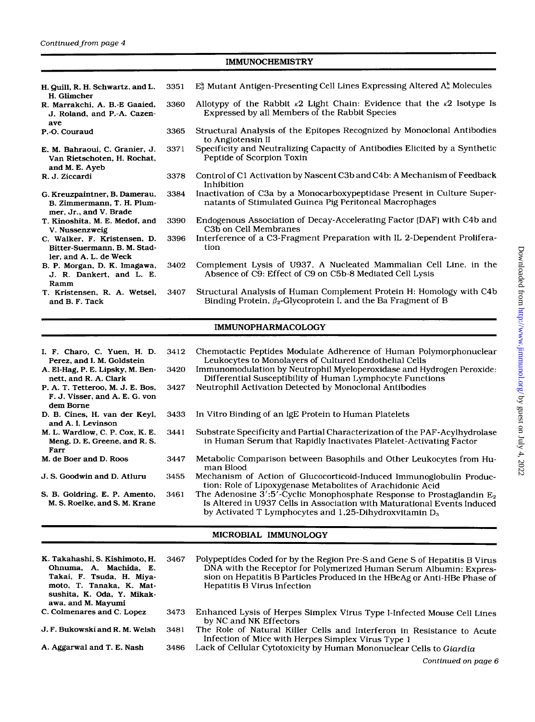### **IMMUNOCHEMISTRY**

| H. Quill, R. H. Schwartz, and L.<br>H. Glimcher                                        | 3351 | $E^k_{\beta}$ Mutant Antigen-Presenting Cell Lines Expressing Altered $A^k_{\alpha}$ Molecules                                               |  |
|----------------------------------------------------------------------------------------|------|----------------------------------------------------------------------------------------------------------------------------------------------|--|
| R. Marrakchi, A. B.-E Gaaied,<br>J. Roland, and P.-A. Cazen-<br>ave                    | 3360 | Allotypy of the Rabbit $\kappa$ 2 Light Chain: Evidence that the $\kappa$ 2 Isotype Is<br>Expressed by all Members of the Rabbit Species     |  |
| P.-O. Couraud                                                                          | 3365 | Structural Analysis of the Epitopes Recognized by Monoclonal Antibodies<br>to Angiotensin II                                                 |  |
| E. M. Bahraoui, C. Granier, J.<br>Van Rietschoten, H. Rochat,<br>and M. E. Ayeb        | 3371 | Specificity and Neutralizing Capacity of Antibodies Elicited by a Synthetic<br>Peptide of Scorpion Toxin                                     |  |
| R. J. Ziccardi                                                                         | 3378 | Control of C1 Activation by Nascent C3b and C4b: A Mechanism of Feedback<br>Inhibition                                                       |  |
| G. Kreuzpaintner, B. Damerau,<br>B. Zimmermann, T. H. Plum-<br>mer, Jr., and V. Brade  | 3384 | Inactivation of C3a by a Monocarboxypeptidase Present in Culture Super-<br>natants of Stimulated Guinea Pig Peritoneal Macrophages           |  |
| T. Kinoshita, M. E. Medof, and<br>V. Nussenzweig                                       | 3390 | Endogenous Association of Decay-Accelerating Factor (DAF) with C4b and<br>C <sub>3</sub> b on Cell Membranes                                 |  |
| C. Walker, F. Kristensen, D.<br>Bitter-Suermann, B. M. Stad-<br>ler, and A. L. de Weck | 3396 | Interference of a C3-Fragment Preparation with IL 2-Dependent Prolifera-<br>tion                                                             |  |
| B. P. Morgan, D. K. Imagawa,<br>J. R. Dankert, and L. E.<br>Ramm                       | 3402 | Complement Lysis of U937, A Nucleated Mammalian Cell Line, in the<br>Absence of C9: Effect of C9 on C5b-8 Mediated Cell Lysis                |  |
| T. Kristensen, R. A. Wetsel,<br>and B. F. Tack                                         | 3407 | Structural Analysis of Human Complement Protein H: Homology with C4b<br>Binding Protein, $\beta_2$ -Glycoprotein I, and the Ba Fragment of B |  |

### **IMMUNOPHARMACOLOGY**

| I. F. Charo, C. Yuen, H. D.<br>Perez, and I. M. Goldstein<br>A. El-Hag, P. E. Lipsky, M. Ben-<br>nett. and R. A. Clark<br>P. A. T. Tetteroo, M. J. E. Bos.<br>F. J. Visser, and A. E. G. von<br>dem Borne | 3412<br>3420<br>3427 | Chemotactic Peptides Modulate Adherence of Human Polymorphonuclear<br>Leukocytes to Monolayers of Cultured Endothelial Cells<br>Immunomodulation by Neutrophil Myeloperoxidase and Hydrogen Peroxide:<br>Differential Susceptibility of Human Lymphocyte Functions<br>Neutrophil Activation Detected by Monoclonal Antibodies |
|-----------------------------------------------------------------------------------------------------------------------------------------------------------------------------------------------------------|----------------------|-------------------------------------------------------------------------------------------------------------------------------------------------------------------------------------------------------------------------------------------------------------------------------------------------------------------------------|
| D. B. Cines, H. van der Keyl,<br>and A. I. Levinson                                                                                                                                                       | 3433                 | In Vitro Binding of an IgE Protein to Human Platelets                                                                                                                                                                                                                                                                         |
| M. L. Wardlow, C. P. Cox, K. E.<br>Meng, D. E. Greene, and R. S.<br>Farr                                                                                                                                  | 3441                 | Substrate Specificity and Partial Characterization of the PAF-Acylhydrolase<br>in Human Serum that Rapidly Inactivates Platelet-Activating Factor                                                                                                                                                                             |
| M. de Boer and D. Roos                                                                                                                                                                                    | 3447                 | Metabolic Comparison between Basophils and Other Leukocytes from Hu-<br>man Blood                                                                                                                                                                                                                                             |
| J. S. Goodwin and D. Atluru                                                                                                                                                                               | 3455                 | Mechanism of Action of Glucocorticoid-Induced Immunoglobulin Produc-<br>tion: Role of Lipoxygenase Metabolites of Arachidonic Acid                                                                                                                                                                                            |
| S. B. Goldring, E. P. Amento,<br>M. S. Roelke, and S. M. Krane                                                                                                                                            | 3461                 | The Adenosine 3':5'-Cyclic Monophosphate Response to Prostaglandin $E_2$<br>Is Altered in U937 Cells in Association with Maturational Events Induced<br>by Activated T Lymphocytes and 1.25-Dihydroxvitamin $D_3$                                                                                                             |

## **MICROBIAL IMMUNOLOGY**

| K. Takahashi, S. Kishimoto, H.<br>Ohnuma, A. Machida, E.<br>Takai, F. Tsuda, H. Miya-<br>moto, T. Tanaka, K. Mat-<br>sushita, K. Oda, Y. Mikak-<br>awa, and M. Mayumi | 3467 | Polypeptides Coded for by the Region Pre-S and Gene S of Hepatitis B Virus<br>DNA with the Receptor for Polymerized Human Serum Albumin: Expres-<br>sion on Hepatitis B Particles Produced in the HBeAg or Anti-HBe Phase of<br>Hepatitis B Virus Infection |
|-----------------------------------------------------------------------------------------------------------------------------------------------------------------------|------|-------------------------------------------------------------------------------------------------------------------------------------------------------------------------------------------------------------------------------------------------------------|
| C. Colmenares and C. Lopez                                                                                                                                            | 3473 | Enhanced Lysis of Herpes Simplex Virus Type I-Infected Mouse Cell Lines<br>by NC and NK Effectors                                                                                                                                                           |
| J. F. Bukowski and R. M. Welsh                                                                                                                                        | 3481 | The Role of Natural Killer Cells and Interferon in Resistance to Acute<br>Infection of Mice with Herpes Simplex Virus Type 1                                                                                                                                |
| A. Aggarwal and T. E. Nash                                                                                                                                            | 3486 | Lack of Cellular Cytotoxicity by Human Mononuclear Cells to Giardia                                                                                                                                                                                         |

Downloaded from http://www.jimmunol.org/ by guest on July 4, 2022  $Downloaded from http://www.jimmunol.org/ by guest on July 4, 2022$  $Downloaded from http://www.jimmunol.org/ by guest on July 4, 2022$  $Downloaded from http://www.jimmunol.org/ by guest on July 4, 2022$